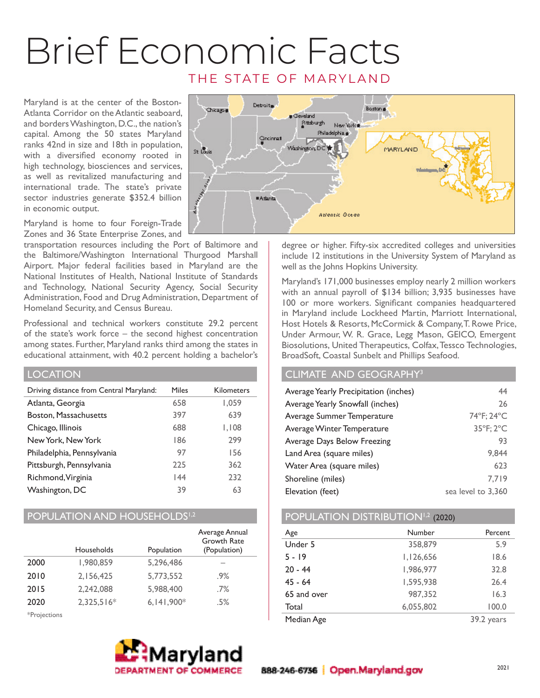## Brief Economic Facts THE STATE OF MARYLAND

Maryland is at the center of the Boston-Atlanta Corridor on the Atlantic seaboard, and borders Washington, D.C., the nation's capital. Among the 50 states Maryland ranks 42nd in size and 18th in population, with a diversified economy rooted in high technology, biosciences and services, as well as revitalized manufacturing and international trade. The state's private sector industries generate \$352.4 billion in economic output.

Maryland is home to four Foreign-Trade Zones and 36 State Enterprise Zones, and

transportation resources including the Port of Baltimore and the Baltimore/Washington International Thurgood Marshall Airport. Major federal facilities based in Maryland are the National Institutes of Health, National Institute of Standards and Technology, National Security Agency, Social Security Administration, Food and Drug Administration, Department of Homeland Security, and Census Bureau.

Professional and technical workers constitute 29.2 percent of the state's work force – the second highest concentration among states. Further, Maryland ranks third among the states in educational attainment, with 40.2 percent holding a bachelor's

| <b>LOCATION</b>                         |       |            |
|-----------------------------------------|-------|------------|
| Driving distance from Central Maryland: | Miles | Kilometers |
| Atlanta, Georgia                        | 658   | 1,059      |
| Boston, Massachusetts                   | 397   | 639        |
| Chicago, Illinois                       | 688   | 1,108      |
| New York, New York                      | 186   | 299        |
| Philadelphia, Pennsylvania              | 97    | 156        |
| Pittsburgh, Pennsylvania                | 225   | 362        |
| Richmond, Virginia                      | 144   | 232        |
| Washington, DC                          | 39    | 63         |
|                                         |       |            |

### POPULATION AND HOUSEHOLDS<sup>1,2</sup>

|      | Households   | Population   | Average Annual<br><b>Growth Rate</b><br>(Population) |
|------|--------------|--------------|------------------------------------------------------|
| 2000 | 1,980,859    | 5,296,486    |                                                      |
| 2010 | 2,156,425    | 5,773,552    | $.9\%$                                               |
| 2015 | 2,242,088    | 5,988,400    | .7%                                                  |
| 2020 | $2,325,516*$ | $6,141,900*$ | .5%                                                  |
|      |              |              |                                                      |

\*Projections





degree or higher. Fifty-six accredited colleges and universities include 12 institutions in the University System of Maryland as well as the Johns Hopkins University.

Maryland's 171,000 businesses employ nearly 2 million workers with an annual payroll of \$134 billion; 3,935 businesses have 100 or more workers. Significant companies headquartered in Maryland include Lockheed Martin, Marriott International, Host Hotels & Resorts, McCormick & Company, T. Rowe Price, Under Armour, W. R. Grace, Legg Mason, GEICO, Emergent Biosolutions, United Therapeutics, Colfax, Tessco Technologies, BroadSoft, Coastal Sunbelt and Phillips Seafood.

## CLIMATE AND GEOGRAPHY3

| Average Yearly Precipitation (inches) | 44                 |
|---------------------------------------|--------------------|
| Average Yearly Snowfall (inches)      | 26                 |
| Average Summer Temperature            | 74°F; 24°C         |
| Average Winter Temperature            | 35°F; 2°C          |
| Average Days Below Freezing           | 93                 |
| Land Area (square miles)              | 9.844              |
| Water Area (square miles)             | 623                |
| Shoreline (miles)                     | 7.719              |
| Elevation (feet)                      | sea level to 3.360 |

## POPULATION DISTRIBUTION<sup>1,2</sup> (2020)

| Age         | Number    | Percent    |
|-------------|-----------|------------|
| Under 5     | 358,879   | 5.9        |
| $5 - 19$    | 1,126,656 | 18.6       |
| $20 - 44$   | 1,986,977 | 32.8       |
| $45 - 64$   | 1,595,938 | 26.4       |
| 65 and over | 987,352   | 16.3       |
| Total       | 6,055,802 | 100.0      |
| Median Age  |           | 39.2 years |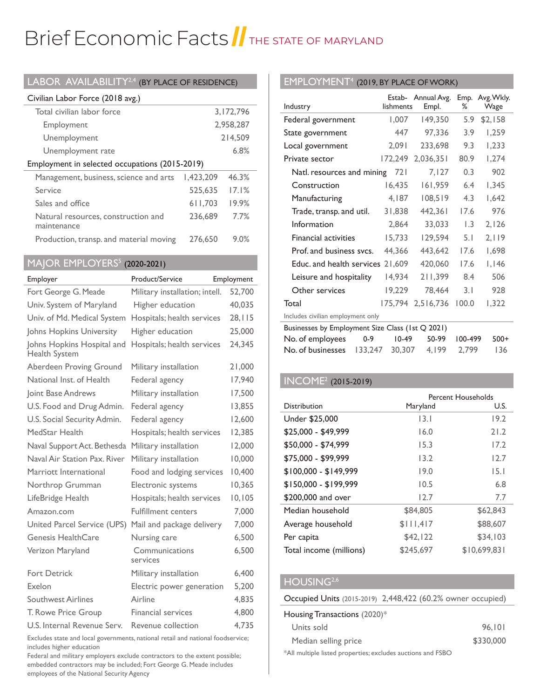# Brief Economic Facts I THE STATE OF MARYLAND

| LABOR AVAILABILITY $^{2,4}$ (by place of residence) |  |
|-----------------------------------------------------|--|
|-----------------------------------------------------|--|

| Civilian Labor Force (2018 avg.)                   |           |           |
|----------------------------------------------------|-----------|-----------|
| Total civilian labor force                         |           | 3,172,796 |
| Employment                                         |           | 2,958,287 |
| Unemployment                                       |           | 214,509   |
| Unemployment rate                                  |           | 6.8%      |
| Employment in selected occupations (2015-2019)     |           |           |
| Management, business, science and arts             | 1.423.209 | 46.3%     |
| Service                                            | 525.635   | 17.1%     |
| Sales and office                                   | 611,703   | 19.9%     |
| Natural resources, construction and<br>maintenance | 236,689   | 77%       |
| Production, transp. and material moving            | 276,650   | 9.0%      |

## MAJOR EMPLOYERS<sup>5</sup> (2020-2021)

| Employer                                           | Product/Service                | Employment |
|----------------------------------------------------|--------------------------------|------------|
| Fort George G. Meade                               | Military installation; intell. | 52,700     |
| Univ. System of Maryland                           | Higher education               | 40,035     |
| Univ. of Md. Medical System                        | Hospitals; health services     | 28, 115    |
| Johns Hopkins University                           | Higher education               | 25,000     |
| Johns Hopkins Hospital and<br><b>Health System</b> | Hospitals; health services     | 24,345     |
| Aberdeen Proving Ground                            | Military installation          | 21,000     |
| National Inst. of Health                           | Federal agency                 | 17,940     |
| Joint Base Andrews                                 | Military installation          | 17,500     |
| U.S. Food and Drug Admin.                          | Federal agency                 | 13,855     |
| U.S. Social Security Admin.                        | Federal agency                 | 12,600     |
| MedStar Health                                     | Hospitals; health services     | 12,385     |
| Naval Support Act. Bethesda                        | Military installation          | 12,000     |
| Naval Air Station Pax, River                       | Military installation          | 10,000     |
| Marriott International                             | Food and lodging services      | 10,400     |
| Northrop Grumman                                   | Electronic systems             | 10,365     |
| LifeBridge Health                                  | Hospitals; health services     | 10, 105    |
| Amazon.com                                         | <b>Fulfillment centers</b>     | 7,000      |
| United Parcel Service (UPS)                        | Mail and package delivery      | 7,000      |
| Genesis HealthCare                                 | Nursing care                   | 6,500      |
| Verizon Maryland                                   | Communications<br>services     | 6,500      |
| <b>Fort Detrick</b>                                | Military installation          | 6,400      |
| Exelon                                             | Electric power generation      | 5,200      |
| Southwest Airlines                                 | Airline                        | 4,835      |
| T. Rowe Price Group                                | Financial services             | 4,800      |
| U.S. Internal Revenue Serv.                        | Revenue collection             | 4,735      |

Excludes state and local governments, national retail and national foodservice; includes higher education

Federal and military employers exclude contractors to the extent possible; embedded contractors may be included; Fort George G. Meade includes employees of the National Security Agency

## EMPLOYMENT<sup>4</sup> (2019, BY PLACE OF WORK)

|                                                  |           | Estab- Annual Avg. | Emp.             | Avg. Wkly. |
|--------------------------------------------------|-----------|--------------------|------------------|------------|
| Industry                                         | lishments | Empl.              | ℅                | Wage       |
| Federal government                               | 1,007     | 149,350            | 5.9              | \$2,158    |
| State government                                 | 447       | 97,336             | 3.9              | 1,259      |
| Local government                                 | 2,091     | 233,698            | 9.3              | 1,233      |
| Private sector                                   | 172,249   | 2,036,351          | 80.9             | 1,274      |
| Natl. resources and mining                       | 721       | 7,127              | 0.3              | 902        |
| Construction                                     | 16,435    | 161,959            | 6.4              | 1,345      |
| Manufacturing                                    | 4,187     | 108,519            | 4.3              | 1,642      |
| Trade, transp. and util.                         | 31,838    | 442,361            | 17.6             | 976        |
| Information                                      | 2,864     | 33,033             | $\overline{1.3}$ | 2,126      |
| <b>Financial activities</b>                      | 15,733    | 129,594            | 5.1              | 2,119      |
| Prof. and business svcs.                         | 44,366    | 443,642            | 17.6             | 1,698      |
| Educ, and health services                        | 21,609    | 420,060            | 17.6             | 1,146      |
| Leisure and hospitality                          | 14,934    | 211,399            | 8.4              | 506        |
| Other services                                   | 19,229    | 78,464             | 3.1              | 928        |
| Total                                            | 175,794   | 2,516,736          | 100.0            | 1,322      |
| Includes civilian employment only                |           |                    |                  |            |
| Businesses by Employment Size Class (1st Q 2021) |           |                    |                  |            |
| No. of employees<br>$0 - 9$                      | $10-49$   | 50-99              | 100-499          | $500+$     |
| No. of businesses<br>133,247                     | 30,307    | 4,199              | 2,799            | 136        |

## INCOME2 (2015-2019)

|                         | <b>Percent Households</b> |             |
|-------------------------|---------------------------|-------------|
| <b>Distribution</b>     | Maryland                  | U.S.        |
| Under \$25,000          | 13.1                      | 19.2        |
| \$25,000 - \$49,999     | 16.0                      | 21.2        |
| \$50,000 - \$74,999     | 15.3                      | 17.2        |
| \$75,000 - \$99,999     | 13.2                      | 12.7        |
| $$100,000 - $149,999$   | 19.0                      | 15.1        |
| $$150,000 - $199,999$   | 10.5                      | 6.8         |
| \$200,000 and over      | 12.7                      | 7.7         |
| Median household        | \$84.805                  | \$62,843    |
| Average household       | \$111,417                 | \$88,607    |
| Per capita              | \$42,122                  | \$34,103    |
| Total income (millions) | \$245.697                 | \$10,699.83 |

## HOUSING<sup>2,6</sup>

#### Occupied Units (2015-2019) 2,448,422 (60.2% owner occupied)

| Housing Transactions $(2020)*$ |           |
|--------------------------------|-----------|
| Units sold                     | 96.101    |
| Median selling price           | \$330,000 |
|                                |           |

\*All multiple listed properties; excludes auctions and FSBO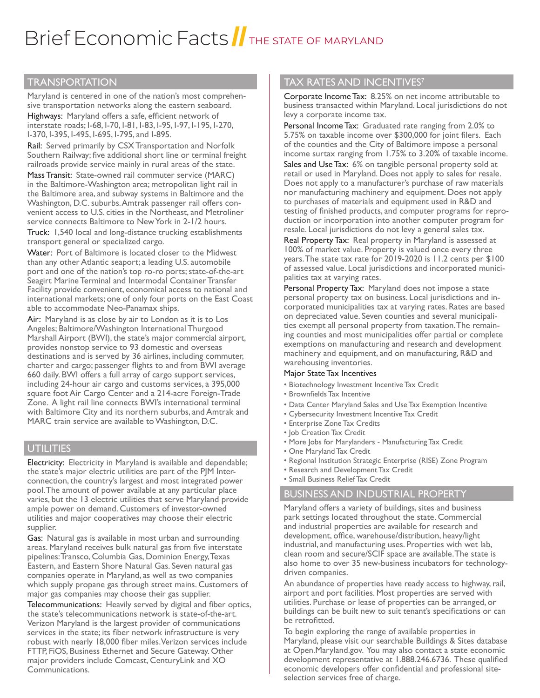# Brief Economic Facts THE STATE OF MARYLAND

## **TRANSPORTATION**

Maryland is centered in one of the nation's most comprehensive transportation networks along the eastern seaboard.

Highways: Maryland offers a safe, efficient network of interstate roads; I-68, I-70, I-81, I-83, I-95, I-97, I-195, I-270, I-370, I-395, I-495, I-695, I-795, and I-895.

Rail: Served primarily by CSX Transportation and Norfolk Southern Railway; five additional short line or terminal freight railroads provide service mainly in rural areas of the state.

Mass Transit: State-owned rail commuter service (MARC) in the Baltimore-Washington area; metropolitan light rail in the Baltimore area, and subway systems in Baltimore and the Washington, D.C. suburbs. Amtrak passenger rail offers convenient access to U.S. cities in the Northeast, and Metroliner service connects Baltimore to New York in 2-1/2 hours.

Truck: 1,540 local and long-distance trucking establishments transport general or specialized cargo.

Water: Port of Baltimore is located closer to the Midwest than any other Atlantic seaport; a leading U.S. automobile port and one of the nation's top ro-ro ports; state-of-the-art Seagirt Marine Terminal and Intermodal Container Transfer Facility provide convenient, economical access to national and international markets; one of only four ports on the East Coast able to accommodate Neo-Panamax ships.

Air: Maryland is as close by air to London as it is to Los Angeles; Baltimore/Washington International Thurgood Marshall Airport (BWI), the state's major commercial airport, provides nonstop service to 93 domestic and overseas destinations and is served by 36 airlines, including commuter, charter and cargo; passenger flights to and from BWI average 660 daily. BWI offers a full array of cargo support services, including 24-hour air cargo and customs services, a 395,000 square foot Air Cargo Center and a 214-acre Foreign-Trade Zone. A light rail line connects BWI's international terminal with Baltimore City and its northern suburbs, and Amtrak and MARC train service are available to Washington, D.C.

### **UTILITIES**

Electricity: Electricity in Maryland is available and dependable; the state's major electric utilities are part of the PJM Interconnection, the country's largest and most integrated power pool. The amount of power available at any particular place varies, but the 13 electric utilities that serve Maryland provide ample power on demand. Customers of investor-owned utilities and major cooperatives may choose their electric supplier.

Gas: Natural gas is available in most urban and surrounding areas. Maryland receives bulk natural gas from five interstate pipelines: Transco, Columbia Gas, Dominion Energy, Texas Eastern, and Eastern Shore Natural Gas. Seven natural gas companies operate in Maryland, as well as two companies which supply propane gas through street mains. Customers of major gas companies may choose their gas supplier.

Telecommunications: Heavily served by digital and fiber optics, the state's telecommunications network is state-of-the-art. Verizon Maryland is the largest provider of communications services in the state; its fiber network infrastructure is very robust with nearly 18,000 fiber miles. Verizon services include FTTP, FiOS, Business Ethernet and Secure Gateway. Other major providers include Comcast, CenturyLink and XO Communications.

## TAX RATES AND INCENTIVES<sup>7</sup>

Corporate Income Tax: 8.25% on net income attributable to business transacted within Maryland. Local jurisdictions do not levy a corporate income tax.

Personal Income Tax: Graduated rate ranging from 2.0% to 5.75% on taxable income over \$300,000 for joint filers. Each of the counties and the City of Baltimore impose a personal income surtax ranging from 1.75% to 3.20% of taxable income.

Sales and Use Tax: 6% on tangible personal property sold at retail or used in Maryland. Does not apply to sales for resale. Does not apply to a manufacturer's purchase of raw materials nor manufacturing machinery and equipment. Does not apply to purchases of materials and equipment used in R&D and testing of finished products, and computer programs for reproduction or incorporation into another computer program for resale. Local jurisdictions do not levy a general sales tax.

Real Property Tax: Real property in Maryland is assessed at 100% of market value. Property is valued once every three years. The state tax rate for 2019-2020 is 11.2 cents per \$100 of assessed value. Local jurisdictions and incorporated municipalities tax at varying rates.

Personal Property Tax: Maryland does not impose a state personal property tax on business. Local jurisdictions and incorporated municipalities tax at varying rates. Rates are based on depreciated value. Seven counties and several municipalities exempt all personal property from taxation. The remaining counties and most municipalities offer partial or complete exemptions on manufacturing and research and development machinery and equipment, and on manufacturing, R&D and warehousing inventories.

#### Major State Tax Incentives

- Biotechnology Investment Incentive Tax Credit
- Brownfields Tax Incentive
- Data Center Maryland Sales and Use Tax Exemption Incentive
- Cybersecurity Investment Incentive Tax Credit
- Enterprise Zone Tax Credits
- Job Creation Tax Credit
- More Jobs for Marylanders Manufacturing Tax Credit
- One Maryland Tax Credit
- Regional Institution Strategic Enterprise (RISE) Zone Program
- Research and Development Tax Credit
- Small Business Relief Tax Credit

#### BUSINESS AND INDUSTRIAL PROPERTY

Maryland offers a variety of buildings, sites and business park settings located throughout the state. Commercial and industrial properties are available for research and development, office, warehouse/distribution, heavy/light industrial, and manufacturing uses. Properties with wet lab, clean room and secure/SCIF space are available. The state is also home to over 35 new-business incubators for technologydriven companies.

An abundance of properties have ready access to highway, rail, airport and port facilities. Most properties are served with utilities. Purchase or lease of properties can be arranged, or buildings can be built new to suit tenant's specifications or can be retrofitted.

To begin exploring the range of available properties in Maryland, please visit our searchable Buildings & Sites database at Open.Maryland.gov. You may also contact a state economic development representative at 1.888.246.6736. These qualified economic developers offer confidential and professional siteselection services free of charge.